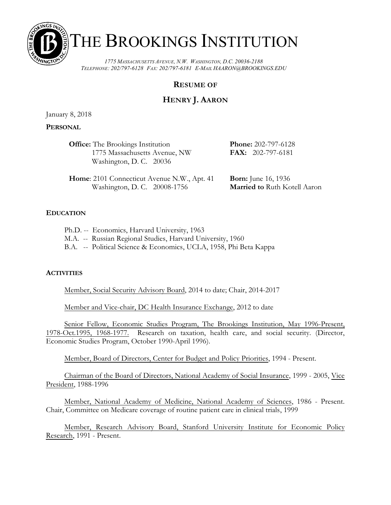

# THE BROOKINGS INSTITUTION

*1775 MASSACHUSETTS AVENUE, N.W. WASHINGTON, D.C. 20036-2188 TELEPHONE: 202/797-6128 FAX: 202/797-6181 E-MAIL HAARON@BROOKINGS.EDU*

# **RESUME OF**

# **HENRY J. AARON**

January 8, 2018

# **PERSONAL**

| <b>Office:</b> The Brookings Institution | <b>Phone:</b> 202-797-6128 |
|------------------------------------------|----------------------------|
| 1775 Massachusetts Avenue, NW            | <b>FAX:</b> $202-797-6181$ |
| Washington, D. C. 20036                  |                            |
|                                          |                            |

**Home:** 2101 Connecticut Avenue N.W., Apt. 41 **Born:** June 16, 1936 Washington, D. C. 20008-1756 **Married to** Ruth Kotell Aaron

# **EDUCATION**

| Ph.D. -- Economics, Harvard University, 1963                      |  |
|-------------------------------------------------------------------|--|
| M.A. -- Russian Regional Studies, Harvard University, 1960        |  |
| B.A. -- Political Science & Economics, UCLA, 1958, Phi Beta Kappa |  |

# **ACTIVITIES**

Member, Social Security Advisory Board, 2014 to date; Chair, 2014-2017

Member and Vice-chair, DC Health Insurance Exchange, 2012 to date

Senior Fellow, Economic Studies Program, The Brookings Institution, May 1996-Present, 1978-Oct.1995, 1968-1977. Research on taxation, health care, and social security. (Director, Economic Studies Program, October 1990-April 1996).

Member, Board of Directors, Center for Budget and Policy Priorities, 1994 - Present.

Chairman of the Board of Directors, National Academy of Social Insurance, 1999 - 2005, Vice President, 1988-1996

Member, National Academy of Medicine, National Academy of Sciences, 1986 - Present. Chair, Committee on Medicare coverage of routine patient care in clinical trials, 1999

Member, Research Advisory Board, Stanford University Institute for Economic Policy Research, 1991 - Present.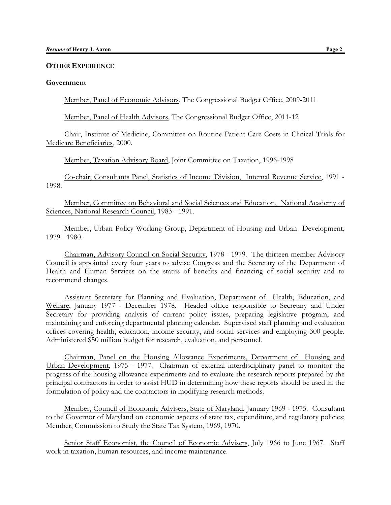#### **OTHER EXPERIENCE**

#### **Government**

Member, Panel of Economic Advisors, The Congressional Budget Office, 2009-2011

Member, Panel of Health Advisors, The Congressional Budget Office, 2011-12

Chair, Institute of Medicine, Committee on Routine Patient Care Costs in Clinical Trials for Medicare Beneficiaries, 2000.

Member, Taxation Advisory Board, Joint Committee on Taxation, 1996-1998

Co-chair, Consultants Panel, Statistics of Income Division, Internal Revenue Service, 1991 - 1998.

Member, Committee on Behavioral and Social Sciences and Education, National Academy of Sciences, National Research Council, 1983 - 1991.

Member, Urban Policy Working Group, Department of Housing and Urban Development, 1979 - 1980.

Chairman, Advisory Council on Social Security, 1978 - 1979. The thirteen member Advisory Council is appointed every four years to advise Congress and the Secretary of the Department of Health and Human Services on the status of benefits and financing of social security and to recommend changes.

Assistant Secretary for Planning and Evaluation, Department of Health, Education, and Welfare, January 1977 - December 1978. Headed office responsible to Secretary and Under Secretary for providing analysis of current policy issues, preparing legislative program, and maintaining and enforcing departmental planning calendar. Supervised staff planning and evaluation offices covering health, education, income security, and social services and employing 300 people. Administered \$50 million budget for research, evaluation, and personnel.

Chairman, Panel on the Housing Allowance Experiments, Department of Housing and Urban Development, 1975 - 1977. Chairman of external interdisciplinary panel to monitor the progress of the housing allowance experiments and to evaluate the research reports prepared by the principal contractors in order to assist HUD in determining how these reports should be used in the formulation of policy and the contractors in modifying research methods.

Member, Council of Economic Advisers, State of Maryland, January 1969 - 1975. Consultant to the Governor of Maryland on economic aspects of state tax, expenditure, and regulatory policies; Member, Commission to Study the State Tax System, 1969, 1970.

Senior Staff Economist, the Council of Economic Advisers, July 1966 to June 1967. Staff work in taxation, human resources, and income maintenance.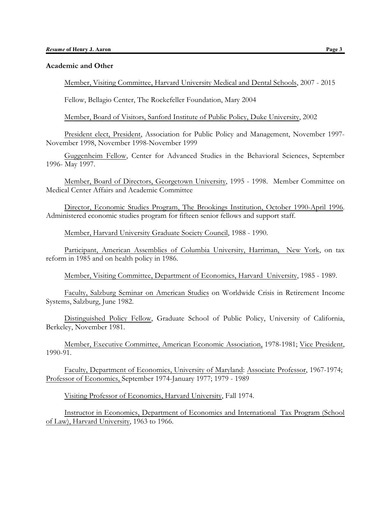#### **Academic and Other**

Member, Visiting Committee, Harvard University Medical and Dental Schools, 2007 - 2015

Fellow, Bellagio Center, The Rockefeller Foundation, Mary 2004

Member, Board of Visitors, Sanford Institute of Public Policy, Duke University, 2002

President elect, President, Association for Public Policy and Management, November 1997- November 1998, November 1998-November 1999

Guggenheim Fellow, Center for Advanced Studies in the Behavioral Sciences, September 1996- May 1997.

Member, Board of Directors, Georgetown University, 1995 - 1998. Member Committee on Medical Center Affairs and Academic Committee

Director, Economic Studies Program, The Brookings Institution, October 1990-April 1996. Administered economic studies program for fifteen senior fellows and support staff.

Member, Harvard University Graduate Society Council, 1988 - 1990.

Participant, American Assemblies of Columbia University, Harriman, New York, on tax reform in 1985 and on health policy in 1986.

Member, Visiting Committee, Department of Economics, Harvard University, 1985 - 1989.

Faculty, Salzburg Seminar on American Studies on Worldwide Crisis in Retirement Income Systems, Salzburg, June 1982.

Distinguished Policy Fellow, Graduate School of Public Policy, University of California, Berkeley, November 1981.

Member, Executive Committee, American Economic Association, 1978-1981; Vice President, 1990-91.

Faculty, Department of Economics, University of Maryland: Associate Professor, 1967-1974; Professor of Economics, September 1974-January 1977; 1979 - 1989

Visiting Professor of Economics, Harvard University, Fall 1974.

Instructor in Economics, Department of Economics and International Tax Program (School of Law), Harvard University, 1963 to 1966.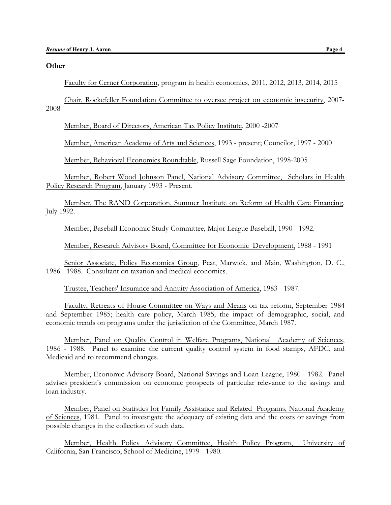#### **Other**

Faculty for Cerner Corporation, program in health economics, 2011, 2012, 2013, 2014, 2015

Chair, Rockefeller Foundation Committee to oversee project on economic insecurity, 2007- 2008

Member, Board of Directors, American Tax Policy Institute, 2000 -2007

Member, American Academy of Arts and Sciences, 1993 - present; Councilor, 1997 - 2000

Member, Behavioral Economics Roundtable, Russell Sage Foundation, 1998-2005

Member, Robert Wood Johnson Panel, National Advisory Committee, Scholars in Health Policy Research Program, January 1993 - Present.

Member, The RAND Corporation, Summer Institute on Reform of Health Care Financing, July 1992.

Member, Baseball Economic Study Committee, Major League Baseball, 1990 - 1992.

Member, Research Advisory Board, Committee for Economic Development, 1988 - 1991

Senior Associate, Policy Economics Group, Peat, Marwick, and Main, Washington, D. C., 1986 - 1988. Consultant on taxation and medical economics.

Trustee, Teachers' Insurance and Annuity Association of America, 1983 - 1987.

Faculty, Retreats of House Committee on Ways and Means on tax reform, September 1984 and September 1985; health care policy, March 1985; the impact of demographic, social, and economic trends on programs under the jurisdiction of the Committee, March 1987.

Member, Panel on Quality Control in Welfare Programs, National Academy of Sciences, 1986 - 1988. Panel to examine the current quality control system in food stamps, AFDC, and Medicaid and to recommend changes.

Member, Economic Advisory Board, National Savings and Loan League, 1980 - 1982. Panel advises president's commission on economic prospects of particular relevance to the savings and loan industry.

Member, Panel on Statistics for Family Assistance and Related Programs, National Academy of Sciences, 1981. Panel to investigate the adequacy of existing data and the costs or savings from possible changes in the collection of such data.

Member, Health Policy Advisory Committee, Health Policy Program, University of California, San Francisco, School of Medicine, 1979 - 1980.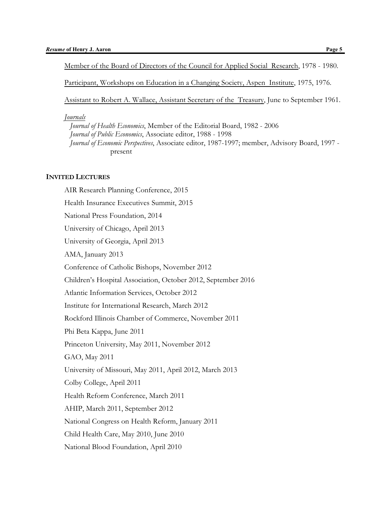Member of the Board of Directors of the Council for Applied Social Research, 1978 - 1980.

Participant, Workshops on Education in a Changing Society, Aspen Institute, 1975, 1976.

Assistant to Robert A. Wallace, Assistant Secretary of the Treasury, June to September 1961.

### *Journals*

 *Journal of Health Economics*, Member of the Editorial Board, 1982 - 2006 *Journal of Public Economics*, Associate editor, 1988 - 1998 *Journal of Economic Perspectives*, Associate editor, 1987-1997; member, Advisory Board, 1997 present

# **INVITED LECTURES**

AIR Research Planning Conference, 2015 Health Insurance Executives Summit, 2015 National Press Foundation, 2014 University of Chicago, April 2013 University of Georgia, April 2013 AMA, January 2013 Conference of Catholic Bishops, November 2012 Children's Hospital Association, October 2012, September 2016 Atlantic Information Services, October 2012 Institute for International Research, March 2012 Rockford Illinois Chamber of Commerce, November 2011 Phi Beta Kappa, June 2011 Princeton University, May 2011, November 2012 GAO, May 2011 University of Missouri, May 2011, April 2012, March 2013 Colby College, April 2011 Health Reform Conference, March 2011 AHIP, March 2011, September 2012 National Congress on Health Reform, January 2011 Child Health Care, May 2010, June 2010 National Blood Foundation, April 2010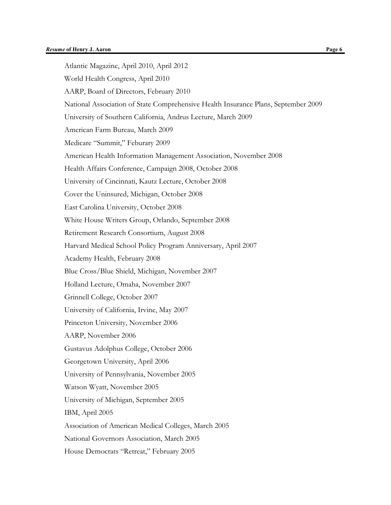Atlantic Magazine, April 2010, April 2012 World Health Congress, April 2010 AARP, Board of Directors, February 2010 National Association of State Comprehensive Health Insurance Plans, September 2009 University of Southern California, Andrus Lecture, March 2009 American Farm Bureau, March 2009 Medicare "Summit," Feburary 2009 American Health Information Management Association, November 2008 Health Affairs Conference, Campaign 2008, October 2008 University of Cincinnati, Kautz Lecture, October 2008 Cover the Uninsured, Michigan, October 2008 East Carolina University, October 2008 White House Writers Group, Orlando, September 2008 Retirement Research Consortium, August 2008 Harvard Medical School Policy Program Anniversary, April 2007 Academy Health, February 2008 Blue Cross/Blue Shield, Michigan, November 2007 Holland Lecture, Omaha, November 2007 Grinnell College, October 2007 University of California, Irvine, May 2007 Princeton University, November 2006 AARP, November 2006 Gustavus Adolphus College, October 2006 Georgetown University, April 2006 University of Pennsylvania, November 2005 Watson Wyatt, November 2005 University of Michigan, September 2005 IBM, April 2005 Association of American Medical Colleges, March 2005 National Governors Association, March 2005 House Democrats "Retreat," February 2005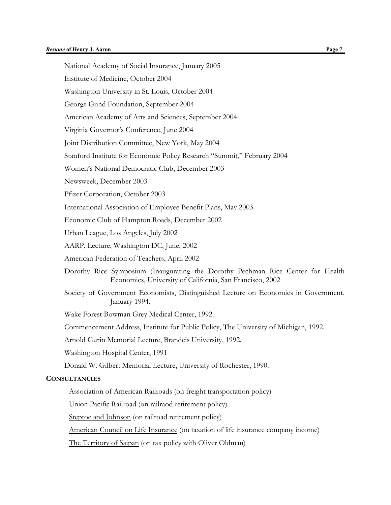| <b>Resume of Henry J. Aaron</b>                                                                                                             | Page 7 |
|---------------------------------------------------------------------------------------------------------------------------------------------|--------|
| National Academy of Social Insurance, January 2005                                                                                          |        |
| Institute of Medicine, October 2004                                                                                                         |        |
| Washington University in St. Louis, October 2004                                                                                            |        |
| George Gund Foundation, September 2004                                                                                                      |        |
| American Academy of Arts and Sciences, September 2004                                                                                       |        |
| Virginia Governor's Conference, June 2004                                                                                                   |        |
| Joint Distribution Committee, New York, May 2004                                                                                            |        |
| Stanford Institute for Economic Policy Research "Summit," February 2004                                                                     |        |
| Women's National Democratic Club, December 2003                                                                                             |        |
| Newsweek, December 2003                                                                                                                     |        |
| Pfizer Corporation, October 2003                                                                                                            |        |
| International Association of Employee Benefit Plans, May 2003                                                                               |        |
| Economic Club of Hampton Roads, December 2002                                                                                               |        |
| Urban League, Los Angeles, July 2002                                                                                                        |        |
| AARP, Lecture, Washington DC, June, 2002                                                                                                    |        |
| American Federation of Teachers, April 2002                                                                                                 |        |
| Dorothy Rice Symposium (Inaugurating the Dorothy Pechman Rice Center for Health<br>Economics, University of California, San Francisco, 2002 |        |
| Society of Government Economists, Distinguished Lecture on Economics in Government,<br>January 1994.                                        |        |
| Wake Forest Bowman Grey Medical Center, 1992.                                                                                               |        |
| Commencement Address, Institute for Public Policy, The University of Michigan, 1992.                                                        |        |
| Arnold Gurin Memorial Lecture, Brandeis University, 1992.                                                                                   |        |
| Washington Hospital Center, 1991                                                                                                            |        |
| Donald W. Gilbert Memorial Lecture, University of Rochester, 1990.                                                                          |        |
| <b>CONSULTANCIES</b>                                                                                                                        |        |
| Association of American Railroads (on freight transportation policy)                                                                        |        |
|                                                                                                                                             |        |

Union Pacific Railroad (on railraod retirement policy)

Steptoe and Johnson (on railroad retirement policy)

American Council on Life Insurance (on taxation of life insurance company income)

The Territory of Saipan (on tax policy with Oliver Oldman)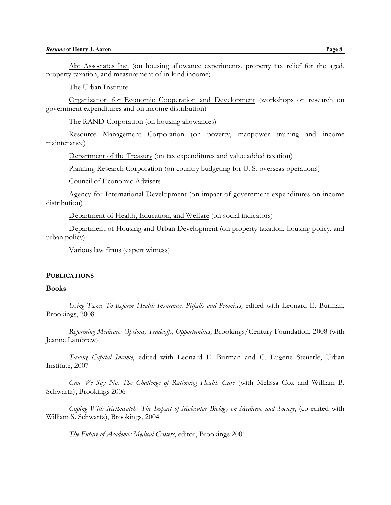Abt Associates Inc. (on housing allowance experiments, property tax relief for the aged, property taxation, and measurement of in-kind income)

The Urban Institute

Organization for Economic Cooperation and Development (workshops on research on government expenditures and on income distribution)

The RAND Corporation (on housing allowances)

Resource Management Corporation (on poverty, manpower training and income maintenance)

Department of the Treasury (on tax expenditures and value added taxation)

Planning Research Corporation (on country budgeting for U. S. overseas operations)

Council of Economic Advisers

Agency for International Development (on impact of government expenditures on income distribution)

Department of Health, Education, and Welfare (on social indicators)

Department of Housing and Urban Development (on property taxation, housing policy, and urban policy)

Various law firms (expert witness)

#### **PUBLICATIONS**

# **Books**

*Using Taxes To Reform Health Insurance: Pitfalls and Promises,* edited with Leonard E. Burman, Brookings, 2008

*Reforming Medicare: Options, Tradeoffs, Opportunities,* Brookings/Century Foundation, 2008 (with Jeanne Lambrew)

*Taxing Capital Income*, edited with Leonard E. Burman and C. Eugene Steuerle, Urban Institute, 2007

*Can We Say No: The Challenge of Rationing Health Care* (with Melissa Cox and William B. Schwartz), Brookings 2006

*Coping With Methusaleh: The Impact of Molecular Biology on Medicine and Society*, (co-edited with William S. Schwartz), Brookings, 2004

*The Future of Academic Medical Centers*, editor, Brookings 2001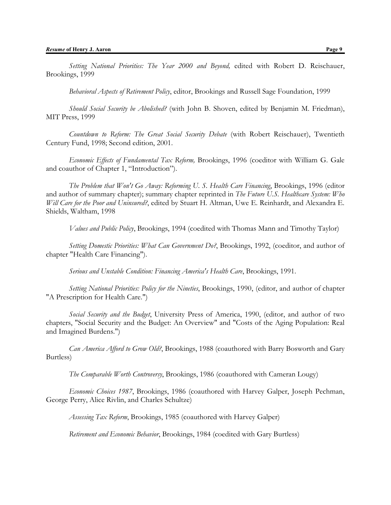*Setting National Priorities: The Year 2000 and Beyond,* edited with Robert D. Reischauer, Brookings, 1999

*Behavioral Aspects of Retirement Policy*, editor, Brookings and Russell Sage Foundation, 1999

*Should Social Security be Abolished?* (with John B. Shoven, edited by Benjamin M. Friedman), MIT Press, 1999

*Countdown to Reform: The Great Social Security Debate* (with Robert Reischauer), Twentieth Century Fund, 1998; Second edition, 2001.

*Economic Effects of Fundamental Tax Reform,* Brookings, 1996 (coeditor with William G. Gale and coauthor of Chapter 1, "Introduction").

*The Problem that Won't Go Away: Reforming U. S. Health Care Financing*, Brookings, 1996 (editor and author of summary chapter); summary chapter reprinted in *The Future U.S. Healthcare System: Who Will Care for the Poor and Uninsured?*, edited by Stuart H. Altman, Uwe E. Reinhardt, and Alexandra E. Shields, Waltham, 1998

*Values and Public Policy*, Brookings, 1994 (coedited with Thomas Mann and Timothy Taylor)

*Setting Domestic Priorities: What Can Government Do?*, Brookings, 1992, (coeditor, and author of chapter "Health Care Financing").

*Serious and Unstable Condition: Financing America's Health Care*, Brookings, 1991.

*Setting National Priorities: Policy for the Nineties*, Brookings, 1990, (editor, and author of chapter "A Prescription for Health Care.")

*Social Security and the Budget*, University Press of America, 1990, (editor, and author of two chapters, "Social Security and the Budget: An Overview" and "Costs of the Aging Population: Real and Imagined Burdens.")

*Can America Afford to Grow Old?*, Brookings, 1988 (coauthored with Barry Bosworth and Gary Burtless)

*The Comparable Worth Controversy*, Brookings, 1986 (coauthored with Cameran Lougy)

*Economic Choices 1987*, Brookings, 1986 (coauthored with Harvey Galper, Joseph Pechman, George Perry, Alice Rivlin, and Charles Schultze)

*Assessing Tax Reform*, Brookings, 1985 (coauthored with Harvey Galper)

*Retirement and Economic Behavior*, Brookings, 1984 (coedited with Gary Burtless)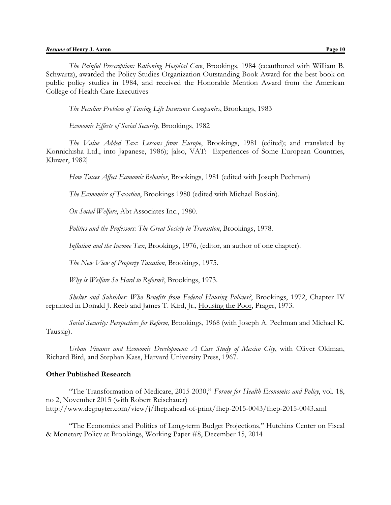*The Painful Prescription: Rationing Hospital Care*, Brookings, 1984 (coauthored with William B. Schwartz), awarded the Policy Studies Organization Outstanding Book Award for the best book on public policy studies in 1984, and received the Honorable Mention Award from the American College of Health Care Executives

*The Peculiar Problem of Taxing Life Insurance Companies*, Brookings, 1983

*Economic Effects of Social Security*, Brookings, 1982

*The Value Added Tax: Lessons from Europe*, Brookings, 1981 (edited); and translated by Konnichisha Ltd., into Japanese, 1986); [also, VAT: Experiences of Some European Countries, Kluwer, 1982]

*How Taxes Affect Economic Behavior*, Brookings, 1981 (edited with Joseph Pechman)

*The Economics of Taxation*, Brookings 1980 (edited with Michael Boskin).

*On Social Welfare*, Abt Associates Inc., 1980.

*Politics and the Professors: The Great Society in Transition*, Brookings, 1978.

*Inflation and the Income Tax*, Brookings, 1976, (editor, an author of one chapter).

*The New View of Property Taxation*, Brookings, 1975.

*Why is Welfare So Hard to Reform?*, Brookings, 1973.

*Shelter and Subsidies: Who Benefits from Federal Housing Policies?*, Brookings, 1972, Chapter IV reprinted in Donald J. Reeb and James T. Kird, Jr., Housing the Poor, Prager, 1973.

*Social Security: Perspectives for Reform*, Brookings, 1968 (with Joseph A. Pechman and Michael K. Taussig).

*Urban Finance and Economic Development: A Case Study of Mexico City*, with Oliver Oldman, Richard Bird, and Stephan Kass, Harvard University Press, 1967.

# **Other Published Research**

"The Transformation of Medicare, 2015-2030," *Forum for Health Economics and Policy*, vol. 18, no 2, November 2015 (with Robert Reischauer) http://www.degruyter.com/view/j/fhep.ahead-of-print/fhep-2015-0043/fhep-2015-0043.xml

"The Economics and Politics of Long-term Budget Projections," Hutchins Center on Fiscal & Monetary Policy at Brookings, Working Paper #8, December 15, 2014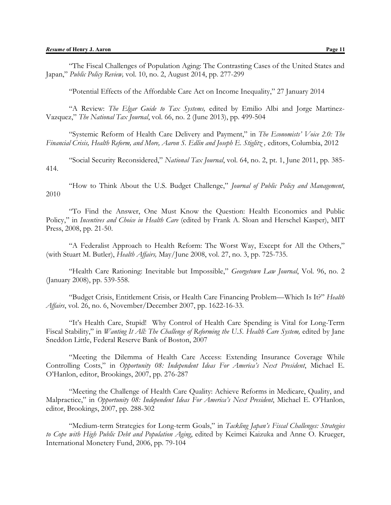"Potential Effects of the Affordable Care Act on Income Inequality," 27 January 2014

"A Review: *The Elgar Guide to Tax Systems,* edited by Emilio Albi and Jorge Martinez-Vazquez," *The National Tax Journal*, vol. 66, no. 2 (June 2013), pp. 499-504

"Systemic Reform of Health Care Delivery and Payment," in *The Economists' Voice 2.0: The* Financial Crisis, Health Reform, and More, Aaron S. Edlin and Joseph E. Stiglitz, editors, Columbia, 2012

"Social Security Reconsidered," *National Tax Journal*, vol. 64, no. 2, pt. 1, June 2011, pp. 385- 414.

"How to Think About the U.S. Budget Challenge," *Journal of Public Policy and Management*, 2010

"To Find the Answer, One Must Know the Question: Health Economics and Public Policy," in *Incentives and Choice in Health Care* (edited by Frank A. Sloan and Herschel Kasper), MIT Press, 2008, pp. 21-50.

"A Federalist Approach to Health Reform: The Worst Way, Except for All the Others," (with Stuart M. Butler), *Health Affairs,* May/June 2008, vol. 27, no. 3, pp. 725-735.

"Health Care Rationing: Inevitable but Impossible," *Georgetown Law Journal*, Vol. 96, no. 2 (January 2008), pp. 539-558.

"Budget Crisis, Entitlement Crisis, or Health Care Financing Problem—Which Is It?" *Health Affairs*, vol. 26, no. 6, November/December 2007, pp. 1622-16-33.

"It's Health Care, Stupid! Why Control of Health Care Spending is Vital for Long-Term Fiscal Stability," in *Wanting It All: The Challenge of Reforming the U.S. Health Care System,* edited by Jane Sneddon Little, Federal Reserve Bank of Boston, 2007

"Meeting the Dilemma of Health Care Access: Extending Insurance Coverage While Controlling Costs," in *Opportunity 08: Independent Ideas For America's Next President*, Michael E. O'Hanlon, editor, Brookings, 2007, pp. 276-287

"Meeting the Challenge of Health Care Quality: Achieve Reforms in Medicare, Quality, and Malpractice," in *Opportunity 08: Independent Ideas For America's Next President*, Michael E. O'Hanlon, editor, Brookings, 2007, pp. 288-302

"Medium-term Strategies for Long-term Goals," in *Tackling Japan's Fiscal Challenges: Strategies to Cope with High Public Debt and Population Aging*, edited by Keimei Kaizuka and Anne O. Krueger, International Monetery Fund, 2006, pp. 79-104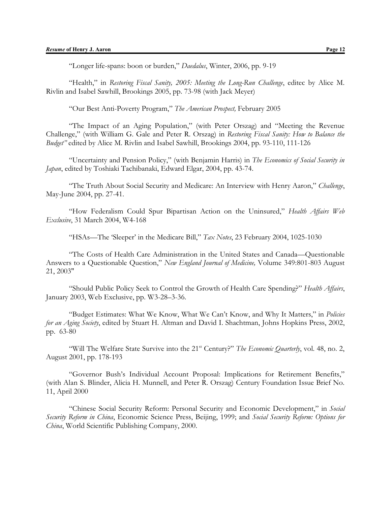"Longer life-spans: boon or burden," *Daedalus*, Winter, 2006, pp. 9-19

"Health," in *Restoring Fiscal Sanity, 2005: Meeting the Long-Run Challenge*, editec by Alice M. Rivlin and Isabel Sawhill, Brookings 2005, pp. 73-98 (with Jack Meyer)

"Our Best Anti-Poverty Program," *The American Prospect,* February 2005

"The Impact of an Aging Population," (with Peter Orszag) and "Meeting the Revenue Challenge," (with William G. Gale and Peter R. Orszag) in *Restoring Fiscal Sanity: How to Balance the Budget"* edited by Alice M. Rivlin and Isabel Sawhill, Brookings 2004, pp. 93-110, 111-126

"Uncertainty and Pension Policy," (with Benjamin Harris) in *The Economics of Social Security in Japan*, edited by Toshiaki Tachibanaki, Edward Elgar, 2004, pp. 43-74.

"The Truth About Social Security and Medicare: An Interview with Henry Aaron," *Challenge*, May-June 2004, pp. 27-41.

"How Federalism Could Spur Bipartisan Action on the Uninsured," *Health Affairs Web Exclusive*, 31 March 2004, W4-168

"HSAs—The 'Sleeper' in the Medicare Bill," *Tax Notes*, 23 February 2004, 1025-1030

"The Costs of Health Care Administration in the United States and Canada—Questionable Answers to a Questionable Question," *New England Journal of Medicine,* Volume 349:801-803 August 21, 2003"

"Should Public Policy Seek to Control the Growth of Health Care Spending?" *Health Affairs*, January 2003, Web Exclusive, pp. W3-28–3-36.

"Budget Estimates: What We Know, What We Can't Know, and Why It Matters," in *Policies for an Aging Society*, edited by Stuart H. Altman and David I. Shachtman, Johns Hopkins Press, 2002, pp. 63-80

"Will The Welfare State Survive into the 21st Century?" *The Economic Quarterly*, vol. 48, no. 2, August 2001, pp. 178-193

"Governor Bush's Individual Account Proposal: Implications for Retirement Benefits," (with Alan S. Blinder, Alicia H. Munnell, and Peter R. Orszag) Century Foundation Issue Brief No. 11, April 2000

"Chinese Social Security Reform: Personal Security and Economic Development," in *Social Security Reform in China*, Economic Science Press, Beijing, 1999; and *Social Security Reform: Options for China*, World Scientific Publishing Company, 2000.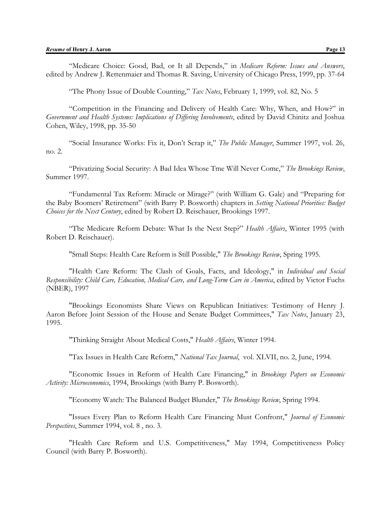"The Phony Issue of Double Counting," *Tax Notes*, February 1, 1999, vol. 82, No. 5

"Competition in the Financing and Delivery of Health Care: Why, When, and How?" in *Government and Health Systems: Implications of Differing Involvements*, edited by David Chinitz and Joshua Cohen, Wiley, 1998, pp. 35-50

"Social Insurance Works: Fix it, Don't Scrap it," *The Public Manager*, Summer 1997, vol. 26, no. 2.

"Privatizing Social Security: A Bad Idea Whose Tme Will Never Come," *The Brookings Review*, Summer 1997.

"Fundamental Tax Reform: Miracle or Mirage?" (with William G. Gale) and "Preparing for the Baby Boomers' Retirement" (with Barry P. Bosworth) chapters in *Setting National Priorities: Budget Choices for the Next Century*, edited by Robert D. Reischauer, Brookings 1997.

"The Medicare Reform Debate: What Is the Next Step?" *Health Affairs*, Winter 1995 (with Robert D. Reischauer).

"Small Steps: Health Care Reform is Still Possible," *The Brookings Review*, Spring 1995.

"Health Care Reform: The Clash of Goals, Facts, and Ideology," in *Individual and Social Responsibility: Child Care, Education, Medical Care, and Long-Term Care in America*, edited by Victor Fuchs (NBER), 1997

"Brookings Economists Share Views on Republican Initiatives: Testimony of Henry J. Aaron Before Joint Session of the House and Senate Budget Committees," *Tax Notes*, January 23, 1995.

"Thinking Straight About Medical Costs," *Health Affairs*, Winter 1994.

"Tax Issues in Health Care Reform," *National Tax Journal*, vol. XLVII, no. 2, June, 1994.

"Economic Issues in Reform of Health Care Financing," in *Brookings Papers on Economic Activity: Microeconomics*, 1994, Brookings (with Barry P. Bosworth).

"Economy Watch: The Balanced Budget Blunder," *The Brookings Review*, Spring 1994.

"Issues Every Plan to Reform Health Care Financing Must Confront," *Journal of Economic Perspectives*, Summer 1994, vol. 8 , no. 3.

"Health Care Reform and U.S. Competitiveness," May 1994, Competitiveness Policy Council (with Barry P. Bosworth).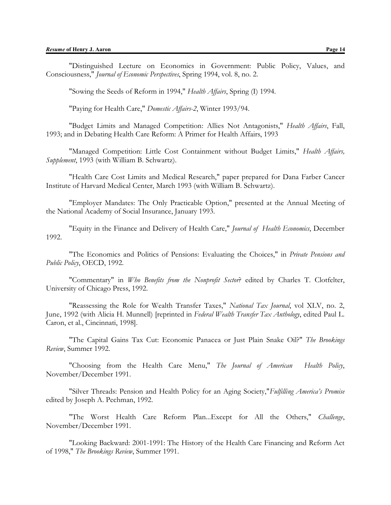"Sowing the Seeds of Reform in 1994," *Health Affairs*, Spring (I) 1994.

"Paying for Health Care," *Domestic Affairs-2*, Winter 1993/94.

"Budget Limits and Managed Competition: Allies Not Antagonists," *Health Affairs*, Fall, 1993; and in Debating Health Care Reform: A Primer for Health Affairs, 1993

"Managed Competition: Little Cost Containment without Budget Limits," *Health Affairs, Supplement*, 1993 (with William B. Schwartz).

"Health Care Cost Limits and Medical Research," paper prepared for Dana Farber Cancer Institute of Harvard Medical Center, March 1993 (with William B. Schwartz).

"Employer Mandates: The Only Practicable Option," presented at the Annual Meeting of the National Academy of Social Insurance, January 1993.

"Equity in the Finance and Delivery of Health Care," *Journal of Health Economics*, December 1992.

"The Economics and Politics of Pensions: Evaluating the Choices," in *Private Pensions and Public Policy*, OECD, 1992.

"Commentary" in *Who Benefits from the Nonprofit Sector*? edited by Charles T. Clotfelter, University of Chicago Press, 1992.

"Reassessing the Role for Wealth Transfer Taxes," *National Tax Journal*, vol XLV, no. 2, June, 1992 (with Alicia H. Munnell) [reprinted in *Federal Wealth Transfer Tax Anthology*, edited Paul L. Caron, et al., Cincinnati, 1998].

"The Capital Gains Tax Cut: Economic Panacea or Just Plain Snake Oil?" *The Brookings Review*, Summer 1992.

"Choosing from the Health Care Menu," *The Journal of American Health Policy*, November/December 1991.

"Silver Threads: Pension and Health Policy for an Aging Society,"*Fulfilling America's Promise* edited by Joseph A. Pechman, 1992.

"The Worst Health Care Reform Plan...Except for All the Others," *Challenge*, November/December 1991.

"Looking Backward: 2001-1991: The History of the Health Care Financing and Reform Act of 1998," *The Brookings Review*, Summer 1991.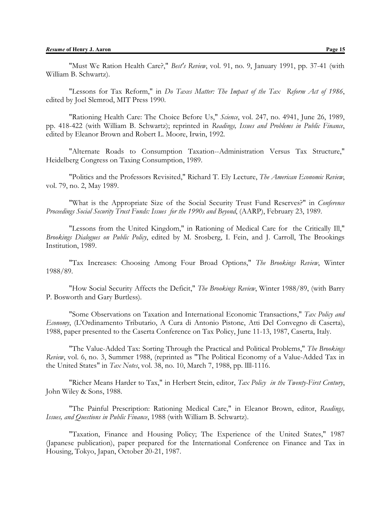"Must We Ration Health Care?," *Best's Review*, vol. 91, no. 9, January 1991, pp. 37-41 (with William B. Schwartz).

"Lessons for Tax Reform," in *Do Taxes Matter: The Impact of the Tax Reform Act of 1986*, edited by Joel Slemrod, MIT Press 1990.

"Rationing Health Care: The Choice Before Us," *Science*, vol. 247, no. 4941, June 26, 1989, pp. 418-422 (with William B. Schwartz); reprinted in *Readings, Issues and Problems in Public Finance*, edited by Eleanor Brown and Robert L. Moore, Irwin, 1992.

"Alternate Roads to Consumption Taxation--Administration Versus Tax Structure," Heidelberg Congress on Taxing Consumption, 1989.

"Politics and the Professors Revisited," Richard T. Ely Lecture, *The American Economic Review*, vol. 79, no. 2, May 1989.

"What is the Appropriate Size of the Social Security Trust Fund Reserves?" in *Conference Proceedings Social Security Trust Funds: Issues for the 1990s and Beyond*, (AARP), February 23, 1989.

"Lessons from the United Kingdom," in Rationing of Medical Care for the Critically Ill," *Brookings Dialogues on Public Policy*, edited by M. Srosberg, I. Fein, and J. Carroll, The Brookings Institution, 1989.

"Tax Increases: Choosing Among Four Broad Options," *The Brookings Review*, Winter 1988/89.

"How Social Security Affects the Deficit," *The Brookings Review*, Winter 1988/89, (with Barry P. Bosworth and Gary Burtless).

"Some Observations on Taxation and International Economic Transactions," *Tax Policy and Economy*, (L'Ordinamento Tributario, A Cura di Antonio Pistone, Atti Del Convegno di Caserta), 1988, paper presented to the Caserta Conference on Tax Policy, June 11-13, 1987, Caserta, Italy.

"The Value-Added Tax: Sorting Through the Practical and Political Problems," *The Brookings Review*, vol. 6, no. 3, Summer 1988, (reprinted as "The Political Economy of a Value-Added Tax in the United States" in *Tax Notes*, vol. 38, no. 10, March 7, 1988, pp. llll-1116.

"Richer Means Harder to Tax," in Herbert Stein, editor, *Tax Policy in the Twenty-First Century*, John Wiley & Sons, 1988.

"The Painful Prescription: Rationing Medical Care," in Eleanor Brown, editor, *Readings, Issues, and Questions in Public Finance*, 1988 (with William B. Schwartz).

"Taxation, Finance and Housing Policy; The Experience of the United States," 1987 (Japanese publication), paper prepared for the International Conference on Finance and Tax in Housing, Tokyo, Japan, October 20-21, 1987.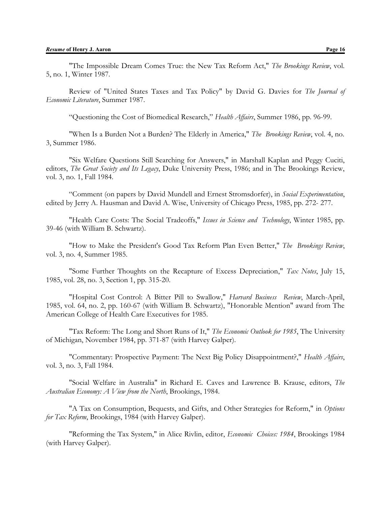Review of "United States Taxes and Tax Policy" by David G. Davies for *The Journal of Economic Literature*, Summer 1987.

"Questioning the Cost of Biomedical Research," *Health Affairs*, Summer 1986, pp. 96-99.

"When Is a Burden Not a Burden? The Elderly in America," *The Brookings Review*, vol. 4, no. 3, Summer 1986.

"Six Welfare Questions Still Searching for Answers," in Marshall Kaplan and Peggy Cuciti, editors, *The Great Society and Its Legacy*, Duke University Press, 1986; and in The Brookings Review, vol. 3, no. 1, Fall 1984.

"Comment (on papers by David Mundell and Ernest Stromsdorfer), in *Social Experimentation*, edited by Jerry A. Hausman and David A. Wise, University of Chicago Press, 1985, pp. 272- 277.

"Health Care Costs: The Social Tradeoffs," *Issues in Science and Technology*, Winter 1985, pp. 39-46 (with William B. Schwartz).

"How to Make the President's Good Tax Reform Plan Even Better," *The Brookings Review*, vol. 3, no. 4, Summer 1985.

"Some Further Thoughts on the Recapture of Excess Depreciation," *Tax Notes*, July 15, 1985, vol. 28, no. 3, Section 1, pp. 315-20.

"Hospital Cost Control: A Bitter Pill to Swallow," *Harvard Business Review*, March-April, 1985, vol. 64, no. 2, pp. 160-67 (with William B. Schwartz), "Honorable Mention" award from The American College of Health Care Executives for 1985.

"Tax Reform: The Long and Short Runs of It," *The Economic Outlook for 1985*, The University of Michigan, November 1984, pp. 371-87 (with Harvey Galper).

"Commentary: Prospective Payment: The Next Big Policy Disappointment?," *Health Affairs*, vol. 3, no. 3, Fall 1984.

"Social Welfare in Australia" in Richard E. Caves and Lawrence B. Krause, editors, *The Australian Economy: A View from the North*, Brookings, 1984.

"A Tax on Consumption, Bequests, and Gifts, and Other Strategies for Reform," in *Options for Tax Reform*, Brookings, 1984 (with Harvey Galper).

"Reforming the Tax System," in Alice Rivlin, editor, *Economic Choices: 1984*, Brookings 1984 (with Harvey Galper).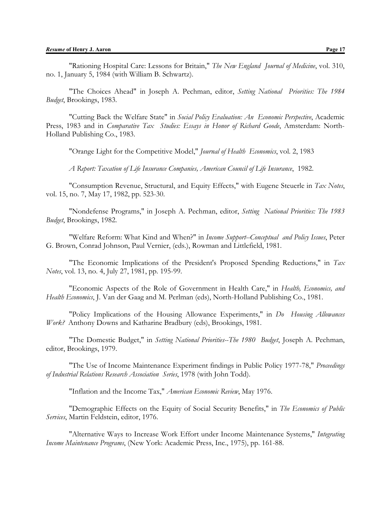"Rationing Hospital Care: Lessons for Britain," *The New England Journal of Medicine*, vol. 310, no. 1, January 5, 1984 (with William B. Schwartz).

"The Choices Ahead" in Joseph A. Pechman, editor, *Setting National Priorities: The 1984 Budget*, Brookings, 1983.

"Cutting Back the Welfare State" in *Social Policy Evaluation: An Economic Perspective*, Academic Press, 1983 and in *Comparative Tax Studies: Essays in Honor of Richard Goode*, Amsterdam: North-Holland Publishing Co., 1983.

"Orange Light for the Competitive Model," *Journal of Health Economics*, vol. 2, 1983

*A Report: Taxation of Life Insurance Companies, American Council of Life Insurance*, 1982.

"Consumption Revenue, Structural, and Equity Effects," with Eugene Steuerle in *Tax Notes*, vol. 15, no. 7, May 17, 1982, pp. 523-30.

"Nondefense Programs," in Joseph A. Pechman, editor, *Setting National Priorities: The 1983 Budget*, Brookings, 1982.

"Welfare Reform: What Kind and When?" in *Income Support--Conceptual and Policy Issues*, Peter G. Brown, Conrad Johnson, Paul Vernier, (eds.), Rowman and Littlefield, 1981.

"The Economic Implications of the President's Proposed Spending Reductions," in *Tax Notes*, vol. 13, no. 4, July 27, 1981, pp. 195-99.

"Economic Aspects of the Role of Government in Health Care," in *Health, Economics, and Health Economics*, J. Van der Gaag and M. Perlman (eds), North-Holland Publishing Co., 1981.

"Policy Implications of the Housing Allowance Experiments," in *Do Housing Allowances Work?* Anthony Downs and Katharine Bradbury (eds), Brookings, 1981.

"The Domestic Budget," in *Setting National Priorities--The 1980 Budget*, Joseph A. Pechman, editor, Brookings, 1979.

"The Use of Income Maintenance Experiment findings in Public Policy 1977-78," *Proceedings of Industrial Relations Research Association Series*, 1978 (with John Todd).

"Inflation and the Income Tax," *American Economic Review*, May 1976.

"Demographic Effects on the Equity of Social Security Benefits," in *The Economics of Public Services*, Martin Feldstein, editor, 1976.

"Alternative Ways to Increase Work Effort under Income Maintenance Systems," *Integrating Income Maintenance Programs*, (New York: Academic Press, Inc., 1975), pp. 161-88.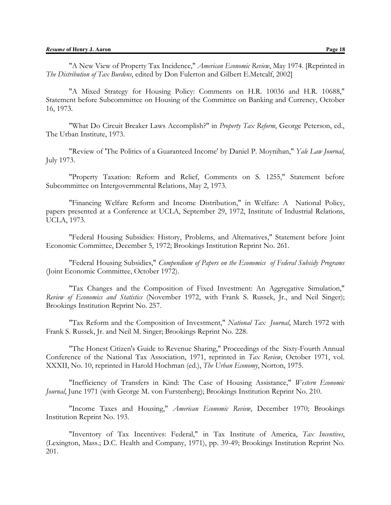"A New View of Property Tax Incidence," *American Economic Review*, May 1974. [Reprinted in *The Distribution of Tax Burdens*, edited by Don Fulerton and Gilbert E.Metcalf, 2002]

"A Mixed Strategy for Housing Policy: Comments on H.R. 10036 and H.R. 10688," Statement before Subcommittee on Housing of the Committee on Banking and Currency, October 16, 1973.

"What Do Circuit Breaker Laws Accomplish?" in *Property Tax Reform*, George Peterson, ed., The Urban Institute, 1973.

"Review of 'The Politics of a Guaranteed Income' by Daniel P. Moynihan," *Yale Law Journal*, July 1973.

"Property Taxation: Reform and Relief, Comments on S. 1255," Statement before Subcommittee on Intergovernmental Relations, May 2, 1973.

"Financing Welfare Reform and Income Distribution," in Welfare: A National Policy, papers presented at a Conference at UCLA, September 29, 1972, Institute of Industrial Relations, UCLA, 1973.

"Federal Housing Subsidies: History, Problems, and Alternatives," Statement before Joint Economic Committee, December 5, 1972; Brookings Institution Reprint No. 261.

"Federal Housing Subsidies," *Compendium of Papers on the Economics of Federal Subsidy Programs* (Joint Economic Committee, October 1972).

"Tax Changes and the Composition of Fixed Investment: An Aggregative Simulation," *Review of Economics and Statistics* (November 1972, with Frank S. Russek, Jr., and Neil Singer); Brookings Institution Reprint No. 257.

"Tax Reform and the Composition of Investment," *National Tax Journal*, March 1972 with Frank S. Russek, Jr. and Neil M. Singer; Brookings Reprint No. 228.

"The Honest Citizen's Guide to Revenue Sharing," Proceedings of the Sixty-Fourth Annual Conference of the National Tax Association, 1971, reprinted in *Tax Review*, October 1971, vol. XXXII, No. 10, reprinted in Harold Hochman (ed.), *The Urban Economy*, Norton, 1975.

"Inefficiency of Transfers in Kind: The Case of Housing Assistance," *Western Economic Journal*, June 1971 (with George M. von Furstenberg); Brookings Institution Reprint No. 210.

"Income Taxes and Housing," *American Economic Review*, December 1970; Brookings Institution Reprint No. 193.

"Inventory of Tax Incentives: Federal," in Tax Institute of America, *Tax Incentives*, (Lexington, Mass.; D.C. Health and Company, 1971), pp. 39-49; Brookings Institution Reprint No. 201.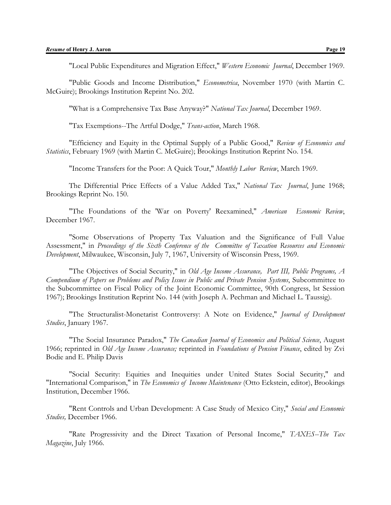"Local Public Expenditures and Migration Effect," *Western Economic Journal*, December 1969.

"Public Goods and Income Distribution," *Econometrica*, November 1970 (with Martin C. McGuire); Brookings Institution Reprint No. 202.

"What is a Comprehensive Tax Base Anyway?" *National Tax Journal*, December 1969.

"Tax Exemptions--The Artful Dodge," *Trans-action*, March 1968.

"Efficiency and Equity in the Optimal Supply of a Public Good," *Review of Economics and Statistics*, February 1969 (with Martin C. McGuire); Brookings Institution Reprint No. 154.

"Income Transfers for the Poor: A Quick Tour," *Monthly Labor Review*, March 1969.

The Differential Price Effects of a Value Added Tax," *National Tax Journal*, June 1968; Brookings Reprint No. 150.

"The Foundations of the 'War on Poverty' Reexamined," *American Economic Review*, December 1967.

"Some Observations of Property Tax Valuation and the Significance of Full Value Assessment," in *Proceedings of the Sixth Conference of the Committee of Taxation Resources and Economic Development*, Milwaukee, Wisconsin, July 7, 1967, University of Wisconsin Press, 1969.

"The Objectives of Social Security," in *Old Age Income Assurance, Part III, Public Programs, A Compendium of Papers on Problems and Policy Issues in Public and Private Pension Systems*, Subcommittee to the Subcommittee on Fiscal Policy of the Joint Economic Committee, 90th Congress, lst Session 1967); Brookings Institution Reprint No. 144 (with Joseph A. Pechman and Michael L. Taussig).

"The Structuralist-Monetarist Controversy: A Note on Evidence," *Journal of Development Studies*, January 1967.

"The Social Insurance Paradox," *The Canadian Journal of Economics and Political Science*, August 1966; reprinted in *Old Age Income Assurance;* reprinted in *Foundations of Pension Finance*, edited by Zvi Bodie and E. Philip Davis

"Social Security: Equities and Inequities under United States Social Security," and "International Comparison," in *The Economics of Income Maintenance* (Otto Eckstein, editor), Brookings Institution, December 1966.

"Rent Controls and Urban Development: A Case Study of Mexico City," *Social and Economic Studies,* December 1966.

"Rate Progressivity and the Direct Taxation of Personal Income," *TAXES--The Tax Magazine*, July 1966.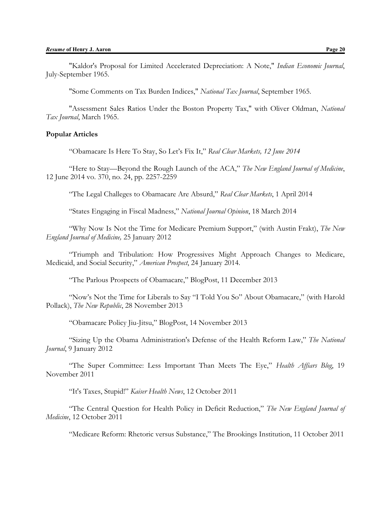"Kaldor's Proposal for Limited Accelerated Depreciation: A Note," *Indian Economic Journal*, July-September 1965.

"Some Comments on Tax Burden Indices," *National Tax Journal*, September 1965.

"Assessment Sales Ratios Under the Boston Property Tax," with Oliver Oldman, *National Tax Journal*, March 1965.

#### **Popular Articles**

"Obamacare Is Here To Stay, So Let's Fix It," *Real Clear Markets, 12 June 2014*

"Here to Stay—Beyond the Rough Launch of the ACA," *The New England Journal of Medicine*, 12 June 2014 vo. 370, no. 24, pp. 2257-2259

"The Legal Challeges to Obamacare Are Absurd," *Real Clear Markets*, 1 April 2014

"States Engaging in Fiscal Madness," *National Journal Opinion*, 18 March 2014

"Why Now Is Not the Time for Medicare Premium Support," (with Austin Frakt), *The New England Journal of Medicine,* 25 January 2012

"Triumph and Tribulation: How Progressives Might Approach Changes to Medicare, Medicaid, and Social Security," *American Prospect*, 24 January 2014.

"The Parlous Prospects of Obamacare," BlogPost, 11 December 2013

"Now's Not the Time for Liberals to Say "I Told You So" About Obamacare," (with Harold Pollack), *The New Republic*, 28 November 2013

"Obamacare Policy Jiu-Jitsu," BlogPost, 14 November 2013

"Sizing Up the Obama Administration's Defense of the Health Reform Law," *The National Journal*, 9 January 2012

"The Super Committee: Less Important Than Meets The Eye," *Health Affiars Blog*, 19 November 2011

"It's Taxes, Stupid!" *Kaiser Health News*, 12 October 2011

"The Central Question for Health Policy in Deficit Reduction," *The New England Journal of Medicine*, 12 October 2011

"Medicare Reform: Rhetoric versus Substance," The Brookings Institution, 11 October 2011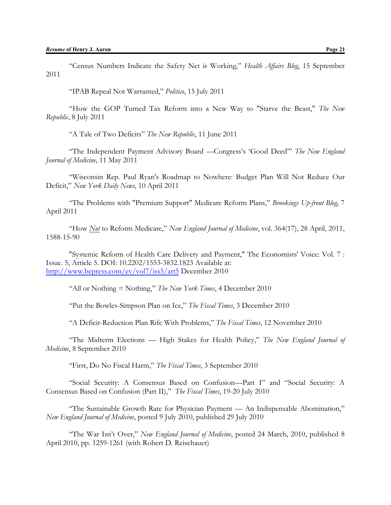"Census Numbers Indicate the Safety Net is Working," *Health Affairs Blog*, 15 September 2011

"IPAB Repeal Not Warranted," *Politico*, 15 July 2011

"How the GOP Turned Tax Reform into a New Way to "Starve the Beast," *The New Republic*, 8 July 2011

"A Tale of Two Deficits" *The New Republic*, 11 June 2011

"The Independent Payment Advisory Board —Congress's 'Good Deed'" *The New England Journal of Medicine*, 11 May 2011

"Wisconsin Rep. Paul Ryan's Roadmap to Nowhere: Budget Plan Will Not Reduce Our Deficit," *New York Daily News*, 10 April 2011

"The Problems with "Premium Support" Medicare Reform Plans," *Brookings Up-front Blog,* 7 April 2011

"How *Not* to Reform Medicare," *New England Journal of Medicine*, vol. 364(17), 28 April, 2011, 1588-15-90

"Systemic Reform of Health Care Delivery and Payment," The Economists' Voice: Vol. 7 : Issue. 5, Article 5. DOI: 10.2202/1553-3832.1823 Available at: <http://www.bepress.com/ev/vol7/iss5/art5> December 2010

"All or Nothing = Nothing," *The New York Times*, 4 December 2010

"Put the Bowles-Simpson Plan on Ice," *The Fiscal Times*, 3 December 2010

"A Deficit-Reduction Plan Rife With Problems," *The Fiscal Times*, 12 November 2010

"The Midterm Elections — High Stakes for Health Policy," *The New England Journal of Medicine*, 8 September 2010

"First, Do No Fiscal Harm," *The Fiscal Times*, 3 September 2010

"Social Security: A Consensus Based on Confusion—Part I" and "Social Security: A Consensus Based on Confusion (Part II)," *The Fiscal Times*, 19-20 July 2010

"The Sustainable Growth Rate for Physician Payment — An Indispensable Abomination," *New England Journal of Medicine*, posted 9 July 2010, published 29 July 2010

"The War Isn't Over," *New England Journal of Medicine*, posted 24 March, 2010, published 8 April 2010, pp. 1259-1261 (with Robert D. Reischauer)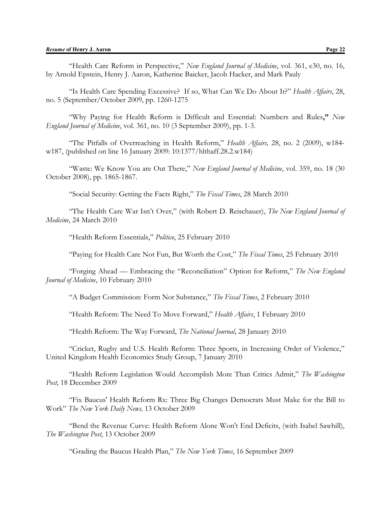"Health Care Reform in Perspective," *New England Journal of Medicine*, vol. 361, e30, no. 16, by Arnold Epstein, Henry J. Aaron, Katherine Baicker, Jacob Hacker, and Mark Pauly

"Is Health Care Spending Excessive? If so, What Can We Do About It?" *Health Affairs*, 28, no. 5 (September/October 2009, pp. 1260-1275

"Why Paying for Health Reform is Difficult and Essential: Numbers and Rules**,"** *New England Journal of Medicine*, vol. 361, no. 10 (3 September 2009), pp. 1-3.

"The Pitfalls of Overreaching in Health Reform," *Health Affairs,* 28, no. 2 (2009), w184 w187, (published on line 16 January 2009: 10:1377/hlthaff.28.2.w184)

"Waste: We Know You are Out There," *New England Journal of Medicine*, vol. 359, no. 18 (30 October 2008), pp. 1865-1867.

"Social Security: Getting the Facts Right," *The Fiscal Times*, 28 March 2010

"The Health Care War Isn't Over," (with Robert D. Reischauer), *The New England Journal of Medicine*, 24 March 2010

"Health Reform Essentials," *Politico*, 25 February 2010

"Paying for Health Care Not Fun, But Worth the Cost," *The Fiscal Times*, 25 February 2010

"Forging Ahead — Embracing the "Reconciliation" Option for Reform," *The New England Journal of Medicine*, 10 February 2010

"A Budget Commission: Form Not Substance," *The Fiscal Times*, 2 February 2010

"Health Reform: The Need To Move Forward," *Health Affairs*, 1 February 2010

"Health Reform: The Way Forward, *The National Journal*, 28 January 2010

"Cricket, Rugby and U.S. Health Reform: Three Sports, in Increasing Order of Violence," United Kingdom Health Economics Study Group, 7 January 2010

"Health Reform Legislation Would Accomplish More Than Critics Admit," *The Washington Post*, 18 December 2009

"Fix Baucus' Health Reform Rx: Three Big Changes Democrats Must Make for the Bill to Work" *The New York Daily News,* 13 October 2009

"Bend the Revenue Curve: Health Reform Alone Won't End Deficits, (with Isabel Sawhill), *The Washington Post*, 13 October 2009

"Grading the Baucus Health Plan," *The New York Times*, 16 September 2009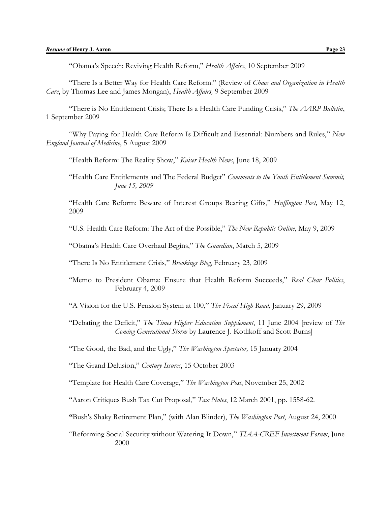"Obama's Speech: Reviving Health Reform," *Health Affairs*, 10 September 2009

"There Is a Better Way for Health Care Reform." (Review of *Chaos and Organization in Health Care*, by Thomas Lee and James Mongan), *Health Affairs,* 9 September 2009

"There is No Entitlement Crisis; There Is a Health Care Funding Crisis," *The AARP Bulletin*, 1 September 2009

"Why Paying for Health Care Reform Is Difficult and Essential: Numbers and Rules," *New England Journal of Medicine*, 5 August 2009

"Health Reform: The Reality Show," *Kaiser Health News*, June 18, 2009

"Health Care Entitlements and The Federal Budget" *Comments to the Youth Entitlement Summit, June 15, 2009*

"Health Care Reform: Beware of Interest Groups Bearing Gifts," *Huffington Post,* May 12, 2009

"U.S. Health Care Reform: The Art of the Possible," *The New Republic Online*, May 9, 2009

"Obama's Health Care Overhaul Begins," *The Guardian*, March 5, 2009

"There Is No Entitlement Crisis," *Brookings Blog*, February 23, 2009

"Memo to President Obama: Ensure that Health Reform Succeeds," *Real Clear Politics*, February 4, 2009

"A Vision for the U.S. Pension System at 100," *The Fiscal High Road*, January 29, 2009

"Debating the Deficit," *The Times Higher Education Supplement*, 11 June 2004 [review of *The Coming Generational Storm* by Laurence J. Kotlikoff and Scott Burns]

"The Good, the Bad, and the Ugly," *The Washington Spectator,* 15 January 2004

"The Grand Delusion," *Century Issures*, 15 October 2003

"Template for Health Care Coverage," *The Washington Post*, November 25, 2002

"Aaron Critiques Bush Tax Cut Proposal," *Tax Notes*, 12 March 2001, pp. 1558-62.

**"**Bush's Shaky Retirement Plan," (with Alan Blinder), *The Washington Post*, August 24, 2000

"Reforming Social Security without Watering It Down," *TIAA-CREF Investment Forum*, June 2000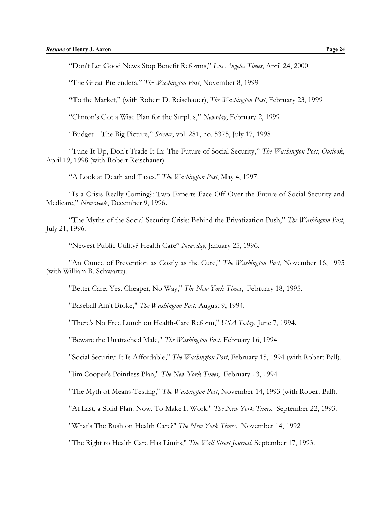"Don't Let Good News Stop Benefit Reforms," *Los Angeles Times*, April 24, 2000

"The Great Pretenders," *The Washington Post*, November 8, 1999

**"**To the Market," (with Robert D. Reischauer), *The Washington Post*, February 23, 1999

"Clinton's Got a Wise Plan for the Surplus," *Newsday*, February 2, 1999

"Budget—The Big Picture," *Science*, vol. 281, no. 5375, July 17, 1998

"Tune It Up, Don't Trade It In: The Future of Social Security," *The Washington Post, Outlook*, April 19, 1998 (with Robert Reischauer)

"A Look at Death and Taxes," *The Washington Post*, May 4, 1997.

"Is a Crisis Really Coming?: Two Experts Face Off Over the Future of Social Security and Medicare," *Newsweek*, December 9, 1996.

"The Myths of the Social Security Crisis: Behind the Privatization Push," *The Washington Post*, July 21, 1996.

"Newest Public Utility? Health Care" *Newsday,* January 25, 1996.

"An Ounce of Prevention as Costly as the Cure," *The Washington Post*, November 16, 1995 (with William B. Schwartz).

"Better Care, Yes. Cheaper, No Way," *The New York Times*, February 18, 1995.

"Baseball Ain't Broke," *The Washington Post,* August 9, 1994.

"There's No Free Lunch on Health-Care Reform," *USA Today*, June 7, 1994.

"Beware the Unattached Male," *The Washington Post*, February 16, 1994

"Social Security: It Is Affordable," *The Washington Post*, February 15, 1994 (with Robert Ball).

"Jim Cooper's Pointless Plan," *The New York Times*, February 13, 1994.

"The Myth of Means-Testing," *The Washington Post*, November 14, 1993 (with Robert Ball).

"At Last, a Solid Plan. Now, To Make It Work." *The New York Times*, September 22, 1993.

"What's The Rush on Health Care?" *The New York Times*, November 14, 1992

"The Right to Health Care Has Limits," *The Wall Street Journal*, September 17, 1993.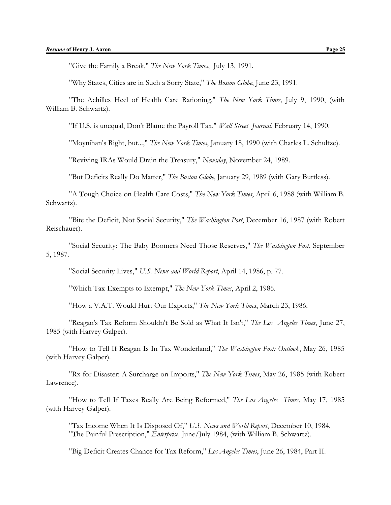"Why States, Cities are in Such a Sorry State," *The Boston Globe*, June 23, 1991.

"The Achilles Heel of Health Care Rationing," *The New York Times*, July 9, 1990, (with William B. Schwartz).

"If U.S. is unequal, Don't Blame the Payroll Tax," *Wall Street Journal*, February 14, 1990.

"Moynihan's Right, but...," *The New York Times*, January 18, 1990 (with Charles L. Schultze).

"Reviving IRAs Would Drain the Treasury," *Newsday*, November 24, 1989.

"But Deficits Really Do Matter," *The Boston Globe*, January 29, 1989 (with Gary Burtless).

"A Tough Choice on Health Care Costs," *The New York Times*, April 6, 1988 (with William B. Schwartz).

"Bite the Deficit, Not Social Security," *The Washington Post*, December 16, 1987 (with Robert Reischauer).

"Social Security: The Baby Boomers Need Those Reserves," *The Washington Post*, September 5, 1987.

"Social Security Lives," *U.S. News and World Report*, April 14, 1986, p. 77.

"Which Tax-Exempts to Exempt," *The New York Times*, April 2, 1986.

"How a V.A.T. Would Hurt Our Exports," *The New York Times*, March 23, 1986.

"Reagan's Tax Reform Shouldn't Be Sold as What It Isn't," *The Los Angeles Times*, June 27, 1985 (with Harvey Galper).

"How to Tell If Reagan Is In Tax Wonderland," *The Washington Post: Outlook*, May 26, 1985 (with Harvey Galper).

"Rx for Disaster: A Surcharge on Imports," *The New York Times*, May 26, 1985 (with Robert Lawrence).

"How to Tell If Taxes Really Are Being Reformed," *The Los Angeles Times*, May 17, 1985 (with Harvey Galper).

"Tax Income When It Is Disposed Of," *U.S. News and World Report*, December 10, 1984. "The Painful Prescription," *Enterprise,* June/July 1984, (with William B. Schwartz).

"Big Deficit Creates Chance for Tax Reform," *Los Angeles Times*, June 26, 1984, Part II.